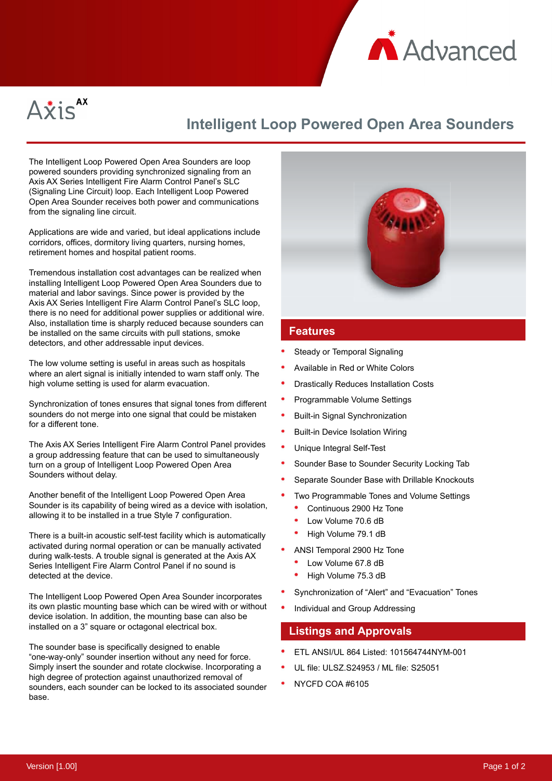



# **Intelligent Loop Powered Open Area Sounders**

The Intelligent Loop Powered Open Area Sounders are loop powered sounders providing synchronized signaling from an Axis AX Series Intelligent Fire Alarm Control Panel's SLC (Signaling Line Circuit) loop. Each Intelligent Loop Powered Open Area Sounder receives both power and communications from the signaling line circuit.

Applications are wide and varied, but ideal applications include corridors, offices, dormitory living quarters, nursing homes, retirement homes and hospital patient rooms.

Tremendous installation cost advantages can be realized when installing Intelligent Loop Powered Open Area Sounders due to material and labor savings. Since power is provided by the Axis AX Series Intelligent Fire Alarm Control Panel's SLC loop, there is no need for additional power supplies or additional wire. Also, installation time is sharply reduced because sounders can be installed on the same circuits with pull stations, smoke detectors, and other addressable input devices.

The low volume setting is useful in areas such as hospitals where an alert signal is initially intended to warn staff only. The high volume setting is used for alarm evacuation.

Synchronization of tones ensures that signal tones from different sounders do not merge into one signal that could be mistaken for a different tone.

The Axis AX Series Intelligent Fire Alarm Control Panel provides a group addressing feature that can be used to simultaneously turn on a group of Intelligent Loop Powered Open Area Sounders without delay.

Another benefit of the Intelligent Loop Powered Open Area Sounder is its capability of being wired as a device with isolation, allowing it to be installed in a true Style 7 configuration.

There is a built-in acoustic self-test facility which is automatically activated during normal operation or can be manually activated during walk-tests. A trouble signal is generated at the Axis AX Series Intelligent Fire Alarm Control Panel if no sound is detected at the device.

The Intelligent Loop Powered Open Area Sounder incorporates its own plastic mounting base which can be wired with or without device isolation. In addition, the mounting base can also be installed on a 3" square or octagonal electrical box.

The sounder base is specifically designed to enable "one-way-only" sounder insertion without any need for force. Simply insert the sounder and rotate clockwise. Incorporating a high degree of protection against unauthorized removal of sounders, each sounder can be locked to its associated sounder base.



#### **Features**

- Steady or Temporal Signaling
- Available in Red or White Colors
- Drastically Reduces Installation Costs
- Programmable Volume Settings
- Built-in Signal Synchronization
- Built-in Device Isolation Wiring
- Unique Integral Self-Test
- Sounder Base to Sounder Security Locking Tab
- Separate Sounder Base with Drillable Knockouts
- Two Programmable Tones and Volume Settings
	- Continuous 2900 Hz Tone
	- Low Volume 70.6 dB
	- High Volume 79.1 dB
- ANSI Temporal 2900 Hz Tone
	- Low Volume 67.8 dB
	- High Volume 75.3 dB
- Synchronization of "Alert" and "Evacuation" Tones
- Individual and Group Addressing

#### **Listings and Approvals**

- ETL ANSI/UL 864 Listed: 101564744NYM-001
- UL file: ULSZ.S24953 / ML file: S25051
- NYCFD COA #6105